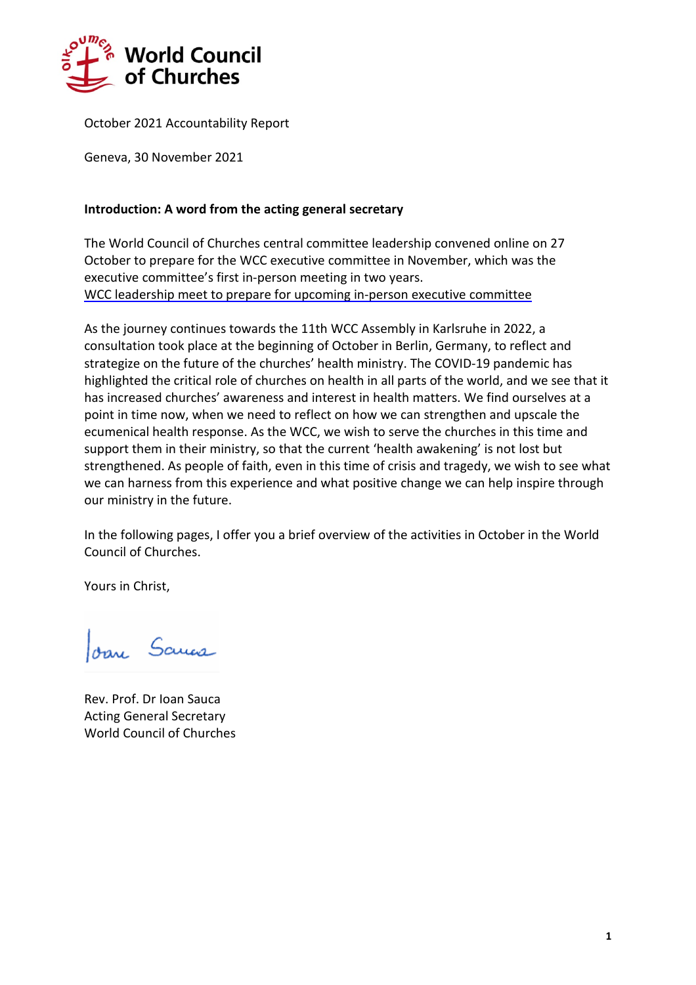

October 2021 Accountability Report

Geneva, 30 November 2021

## **Introduction: A word from the acting general secretary**

The World Council of Churches central committee leadership convened online on 27 October to prepare for the WCC executive committee in November, which was the executive committee's first in-person meeting in two years. WCC leadership meet to prepare for upcoming in-person executive [committee](https://www.oikoumene.org/news/wcc-leadership-meet-to-prepare-for-upcoming-in-person-executive-committee)

As the journey continues towards the 11th WCC Assembly in Karlsruhe in 2022, a consultation took place at the beginning of October in Berlin, Germany, to reflect and strategize on the future of the churches' health ministry. The COVID-19 pandemic has highlighted the critical role of churches on health in all parts of the world, and we see that it has increased churches' awareness and interest in health matters. We find ourselves at a point in time now, when we need to reflect on how we can strengthen and upscale the ecumenical health response. As the WCC, we wish to serve the churches in this time and support them in their ministry, so that the current 'health awakening' is not lost but strengthened. As people of faith, even in this time of crisis and tragedy, we wish to see what we can harness from this experience and what positive change we can help inspire through our ministry in the future.

In the following pages, I offer you a brief overview of the activities in October in the World Council of Churches.

Yours in Christ,

Joan Sama

Rev. Prof. Dr Ioan Sauca Acting General Secretary World Council of Churches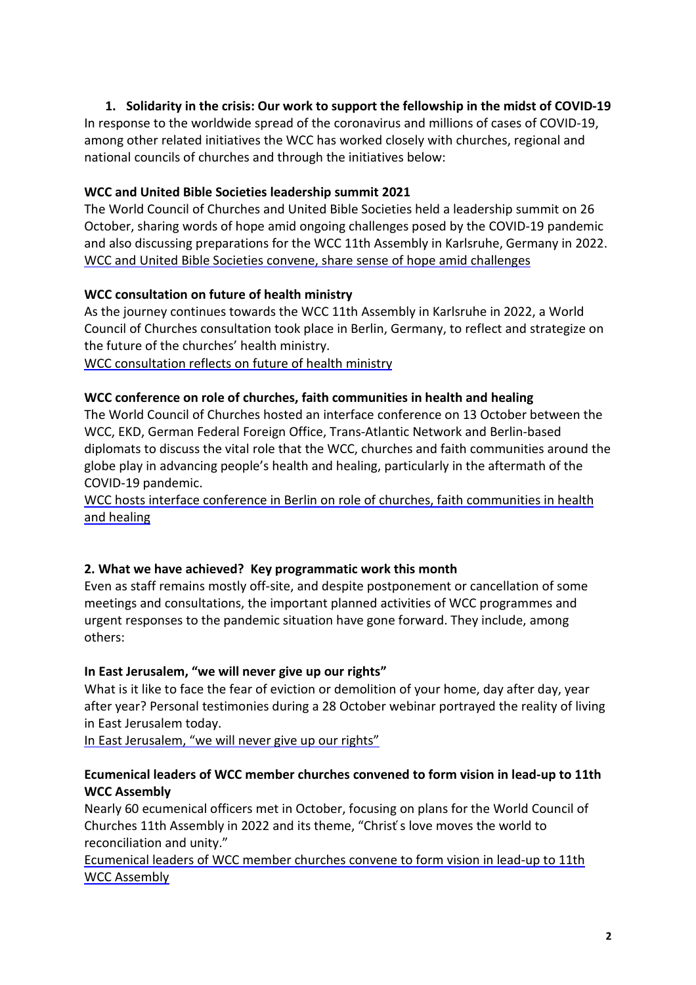# **1. Solidarity in the crisis: Our work to support the fellowship in the midst of COVID-19**

In response to the worldwide spread of the coronavirus and millions of cases of COVID-19, among other related initiatives the WCC has worked closely with churches, regional and national councils of churches and through the initiatives below:

# **WCC and United Bible Societies [leadership](https://www.oikoumene.org/news/wcc-and-united-bible-societies-convene-share-sense-of-hope-amid-challenges) summit 2021**

The World Council of Churches and United Bible Societies held a leadership summit on 26 October, sharing words of hope amid ongoing challenges posed by the COVID-19 pandemic and also discussing preparations for the WCC 11th Assembly in Karlsruhe, Germany in 2022. WCC and United Bible Societies convene, share sense of hope amid [challenges](https://www.oikoumene.org/news/wcc-and-united-bible-societies-convene-share-sense-of-hope-amid-challenges)

# **WCC [consultation](https://www.oikoumene.org/news/wcc-consultation-reflects-on-future-of-health-ministry) on future of health ministry**

As the journey continues towards the WCC 11th Assembly in Karlsruhe in 2022, a World Council of Churches consultation took place in Berlin, Germany, to reflect and strategize on the future of the churches' health ministry.

WCC [consultation](https://www.oikoumene.org/news/wcc-consultation-reflects-on-future-of-health-ministry) reflects on future of health ministry

## **WCC conference on role of churches, faith [communities](https://www.oikoumene.org/news/wcc-hosts-interface-conference-in-berlin-on-role-of-churches-faith-communities-in-health-and-healing) in health and healing**

The World Council of Churches hosted an interface conference on 13 October between the WCC, EKD, German Federal Foreign Office, Trans-Atlantic Network and Berlin-based diplomats to discuss the vital role that the WCC, churches and faith communities around the globe play in advancing people's health and healing, particularly in the aftermath of the COVID-19 pandemic.

WCC hosts interface conference in Berlin on role of churches, faith [communities](https://www.oikoumene.org/news/wcc-hosts-interface-conference-in-berlin-on-role-of-churches-faith-communities-in-health-and-healing) in health and [healing](https://www.oikoumene.org/news/wcc-hosts-interface-conference-in-berlin-on-role-of-churches-faith-communities-in-health-and-healing)

## **2. What we have achieved? Key programmatic work this month**

Even as staff remains mostly off-site, and despite postponement or cancellation of some meetings and consultations, the important planned activities of WCC programmes and urgent responses to the pandemic situation have gone forward. They include, among others:

## **In East Jerusalem, "we will never give up our rights"**

What is it like to face the fear of eviction or demolition of your home, day after day, year after year? Personal testimonies during a 28 October webinar portrayed the reality of living in East Jerusalem today.

In East [Jerusalem,](https://www.oikoumene.org/news/in-east-jerusalem-we-will-never-give-up-our-rights) "we will never give up our rights"

# **[Ecumenical](https://www.oikoumene.org/news/ecumenical-leaders-of-wcc-member-churches-convene-to-form-vision-in-lead-up-to-11th-wcc-assembly) leaders of WCC member churches convened to form vision in lead-up to 11th WCC [Assembly](https://www.oikoumene.org/news/ecumenical-leaders-of-wcc-member-churches-convene-to-form-vision-in-lead-up-to-11th-wcc-assembly)**

Nearly 60 ecumenical officers met in October, focusing on plans for the World Council of Churches 11th Assembly in 2022 and its theme, "Christ ́s love moves the world to reconciliation and unity."

[Ecumenical](https://www.oikoumene.org/news/ecumenical-leaders-of-wcc-member-churches-convene-to-form-vision-in-lead-up-to-11th-wcc-assembly) leaders of WCC member churches convene to form vision in lead-up to 11th WCC [Assembly](https://www.oikoumene.org/news/ecumenical-leaders-of-wcc-member-churches-convene-to-form-vision-in-lead-up-to-11th-wcc-assembly)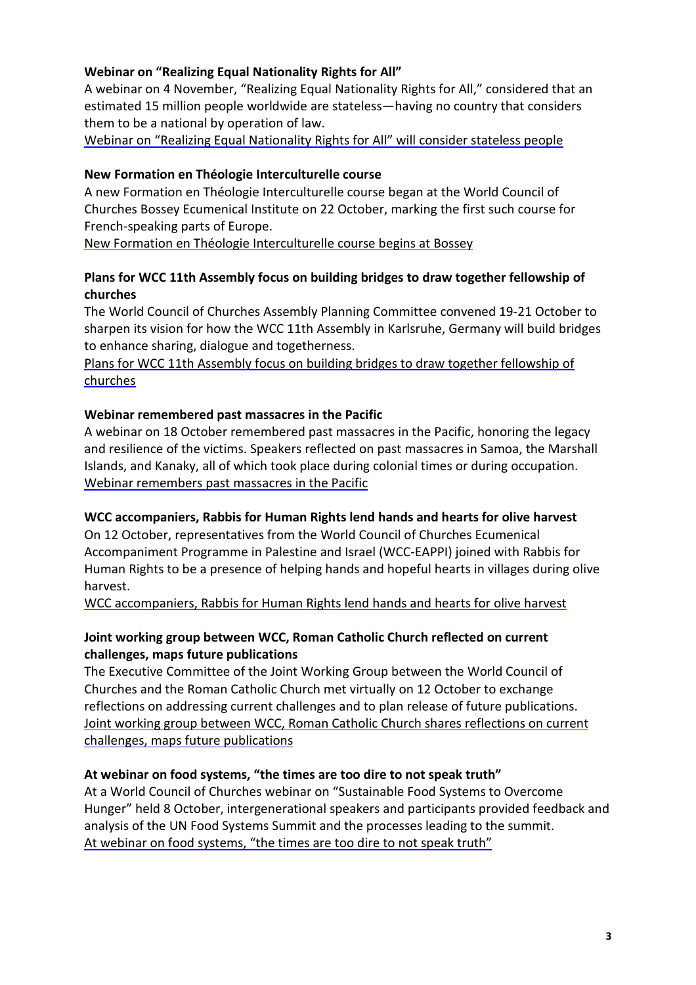#### **Webinar on "Realizing Equal Nationality Rights for All"**

A webinar on 4 November, "Realizing Equal Nationality Rights for All," considered that an estimated 15 million people worldwide are stateless—having no country that considers them to be a national by operation of law.

Webinar on "Realizing Equal [Nationality](https://www.oikoumene.org/news/webinar-on-realizing-equal-nationality-rights-for-all-will-consider-stateless-people) Rights for All" will consider stateless people

#### **New Formation en Théologie [Interculturelle](https://www.oikoumene.org/news/new-formation-en-theologie-interculturelle-course-begins-at-bossey) course**

A new Formation en Théologie Interculturelle course began at the World Council of Churches Bossey Ecumenical Institute on 22 October, marking the first such course for French-speaking parts of Europe.

New Formation en Théologie [Interculturelle](https://www.oikoumene.org/news/new-formation-en-theologie-interculturelle-course-begins-at-bossey) course begins at Bossey

## **Plans for WCC 11th Assembly focus on building bridges to draw together [fellowship](https://www.oikoumene.org/news/plans-for-wcc-11th-assembly-focus-on-building-bridges-to-draw-together-fellowship-of-churches) of [churches](https://www.oikoumene.org/news/plans-for-wcc-11th-assembly-focus-on-building-bridges-to-draw-together-fellowship-of-churches)**

The World Council of Churches Assembly Planning Committee convened 19-21 October to sharpen its vision for how the WCC 11th Assembly in Karlsruhe, Germany will build bridges to enhance sharing, dialogue and togetherness.

Plans for WCC 11th Assembly focus on building bridges to draw together [fellowship](https://www.oikoumene.org/news/plans-for-wcc-11th-assembly-focus-on-building-bridges-to-draw-together-fellowship-of-churches) of [churches](https://www.oikoumene.org/news/plans-for-wcc-11th-assembly-focus-on-building-bridges-to-draw-together-fellowship-of-churches)

## **Webinar [remembered](https://www.oikoumene.org/news/webinar-remembers-past-massacres-in-the-pacific) past massacres in the Pacific**

A webinar on 18 October remembered past massacres in the Pacific, honoring the legacy and resilience of the victims. Speakers reflected on past massacres in Samoa, the Marshall Islands, and Kanaky, all of which took place during colonial times or during occupation. Webinar [remembers](https://www.oikoumene.org/news/webinar-remembers-past-massacres-in-the-pacific) past massacres in the Pacific

## **WCC [accompaniers,](https://www.oikoumene.org/news/wcc-accompaniers-rabbis-for-human-rights-lend-hands-and-hearts-for-olive-harvest) Rabbis for Human Rights lend hands and hearts for olive harvest**

On 12 October, representatives from the World Council of Churches Ecumenical Accompaniment Programme in Palestine and Israel (WCC-EAPPI) joined with Rabbis for Human Rights to be a presence of helping hands and hopeful hearts in villages during olive harvest.

WCC [accompaniers,](https://www.oikoumene.org/news/wcc-accompaniers-rabbis-for-human-rights-lend-hands-and-hearts-for-olive-harvest) Rabbis for Human Rights lend hands and hearts for olive harvest

## **Joint working group between WCC, Roman Catholic Church [reflected](https://www.oikoumene.org/news/joint-working-group-between-wcc-roman-catholic-church-shares-reflections-on-current-challenges-maps-future-publications) on current challenges, maps future [publications](https://www.oikoumene.org/news/joint-working-group-between-wcc-roman-catholic-church-shares-reflections-on-current-challenges-maps-future-publications)**

The Executive Committee of the Joint Working Group between the World Council of Churches and the Roman Catholic Church met virtually on 12 October to exchange reflections on addressing current challenges and to plan release of future publications. Joint working group between WCC, Roman Catholic Church shares [reflections](https://www.oikoumene.org/news/joint-working-group-between-wcc-roman-catholic-church-shares-reflections-on-current-challenges-maps-future-publications) on current challenges, maps future [publications](https://www.oikoumene.org/news/joint-working-group-between-wcc-roman-catholic-church-shares-reflections-on-current-challenges-maps-future-publications)

## **At webinar on food [systems,](https://www.oikoumene.org/news/at-webinar-on-food-systems-the-times-are-too-dire-to-not-speak-truth) "the times are too dire to not speak truth"**

At a World Council of Churches webinar on "Sustainable Food Systems to Overcome Hunger" held 8 October, intergenerational speakers and participants provided feedback and analysis of the UN Food Systems Summit and the processes leading to the summit. At webinar on food [systems,](https://www.oikoumene.org/news/at-webinar-on-food-systems-the-times-are-too-dire-to-not-speak-truth) "the times are too dire to not speak truth"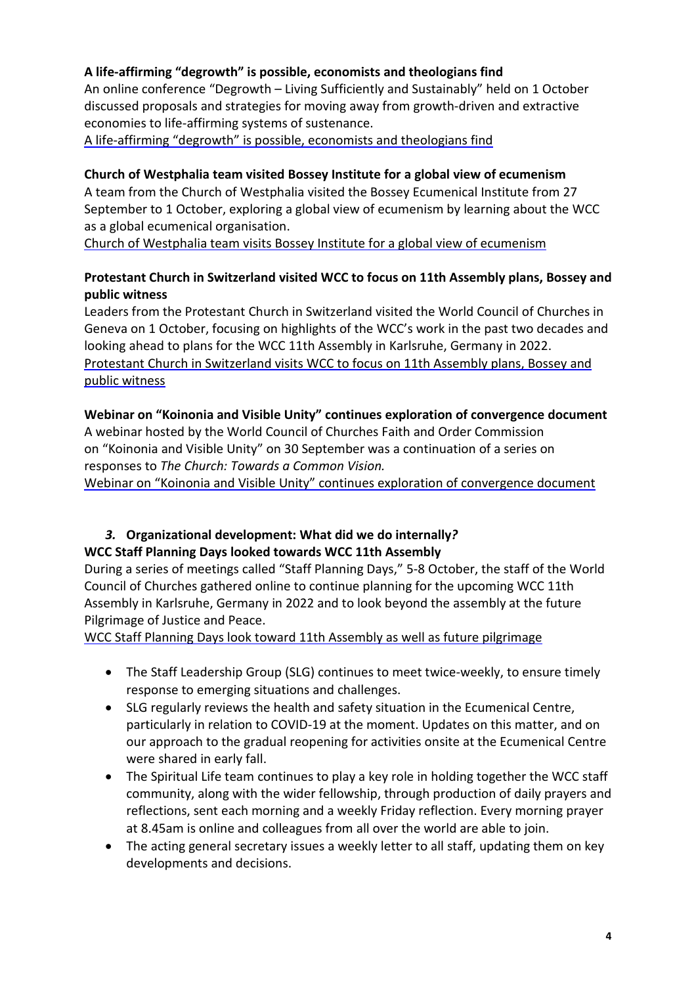# **A [life-affirming](https://www.oikoumene.org/news/a-life-affirming-degrowth-is-possible-economists-and-theologians-find) "degrowth" is possible, economists and theologians find**

An online conference "Degrowth – Living Sufficiently and Sustainably" held on 1 October discussed proposals and strategies for moving away from growth-driven and extractive economies to life-affirming systems of sustenance.

A [life-affirming](https://www.oikoumene.org/news/a-life-affirming-degrowth-is-possible-economists-and-theologians-find) "degrowth" is possible, economists and theologians find

## **Church of Westphalia team visited Bossey Institute for a global view of [ecumenism](https://www.oikoumene.org/news/church-of-westphalia-team-visits-bossey-institute-for-a-global-view-of-ecumenism)**

A team from the Church of Westphalia visited the Bossey Ecumenical Institute from 27 September to 1 October, exploring a global view of ecumenism by learning about the WCC as a global ecumenical organisation.

Church of Westphalia team visits Bossey Institute for a global view of [ecumenism](https://www.oikoumene.org/news/church-of-westphalia-team-visits-bossey-institute-for-a-global-view-of-ecumenism) 

# **Protestant Church in [Switzerland](https://www.oikoumene.org/news/protestant-church-in-switzerland-visits-wcc-to-focus-on-11th-assembly-plans-bossey-and-public-witness) visited WCC to focus on 11th Assembly plans, Bossey and public [witness](https://www.oikoumene.org/news/protestant-church-in-switzerland-visits-wcc-to-focus-on-11th-assembly-plans-bossey-and-public-witness)**

Leaders from the Protestant Church in Switzerland visited the World Council of Churches in Geneva on 1 October, focusing on highlights of the WCC's work in the past two decades and looking ahead to plans for the WCC 11th Assembly in Karlsruhe, Germany in 2022. Protestant Church in [Switzerland](https://www.oikoumene.org/news/protestant-church-in-switzerland-visits-wcc-to-focus-on-11th-assembly-plans-bossey-and-public-witness) visits WCC to focus on 11th Assembly plans, Bossey and public [witness](https://www.oikoumene.org/news/protestant-church-in-switzerland-visits-wcc-to-focus-on-11th-assembly-plans-bossey-and-public-witness)

#### **Webinar on "Koinonia and Visible Unity" continues exploration of [convergence](https://www.oikoumene.org/news/webinar-on-koinonia-and-visible-unity-continues-exploration-of-convergence-document) document**

A webinar hosted by the World Council of Churches Faith and Order Commission on "Koinonia and Visible Unity" on 30 September was a continuation of a series on responses to *The Church: Towards a [Common](https://www.oikoumene.org/resources/documents/the-church-towards-a-common-vision) Vision.*

Webinar on "Koinonia and Visible Unity" continues exploration of [convergence](https://www.oikoumene.org/news/webinar-on-koinonia-and-visible-unity-continues-exploration-of-convergence-document) document

## *3.* **Organizational development: What did we do internally***?*  **WCC Staff Planning Days looked towards WCC 11th [Assembly](https://www.oikoumene.org/news/wcc-staff-planning-days-look-toward-11th-assembly-as-well-as-future-pilgrimage)**

During a series of meetings called "Staff Planning Days," 5-8 October, the staff of the World Council of Churches gathered online to continue planning for the upcoming WCC 11th Assembly in Karlsruhe, Germany in 2022 and to look beyond the assembly at the future Pilgrimage of Justice and Peace.

WCC Staff Planning Days look toward 11th Assembly as well as future [pilgrimage](https://www.oikoumene.org/news/wcc-staff-planning-days-look-toward-11th-assembly-as-well-as-future-pilgrimage)

- The Staff Leadership Group (SLG) continues to meet twice-weekly, to ensure timely response to emerging situations and challenges.
- SLG regularly reviews the health and safety situation in the Ecumenical Centre, particularly in relation to COVID-19 at the moment. Updates on this matter, and on our approach to the gradual reopening for activities onsite at the Ecumenical Centre were shared in early fall.
- The Spiritual Life team continues to play a key role in holding together the WCC staff community, along with the wider fellowship, through production of daily prayers and reflections, sent each morning and a weekly Friday reflection. Every morning prayer at 8.45am is online and colleagues from all over the world are able to join.
- The acting general secretary issues a weekly letter to all staff, updating them on key developments and decisions.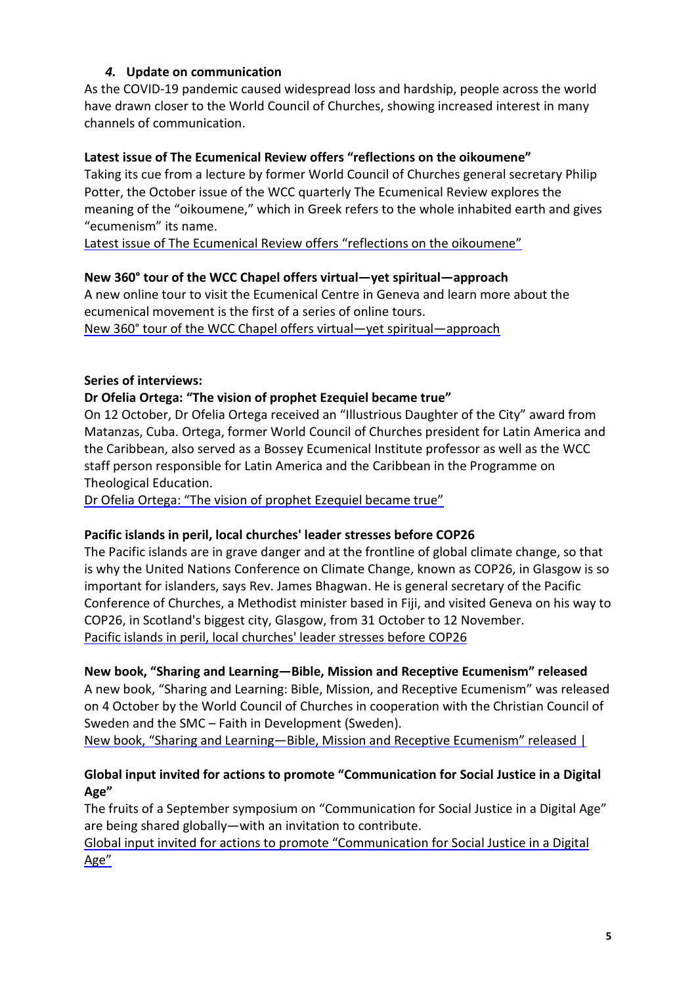# *4.* **Update on communication**

As the COVID-19 pandemic caused widespread loss and hardship, people across the world have drawn closer to the World Council of Churches, showing increased interest in many channels of communication.

#### **Latest issue of The Ecumenical Review offers "reflections on the oikoumene"**

Taking its cue from a lecture by former World Council of Churches general secretary Philip Potter, the October issue of the WCC quarterly The Ecumenical Review explores the meaning of the "oikoumene," which in Greek refers to the whole inhabited earth and gives "ecumenism" its name.

Latest issue of The Ecumenical Review offers "reflections on the [oikoumene"](https://www.oikoumene.org/news/latest-issue-of-the-ecumenical-review-offers-reflections-on-the-oikoumene)

#### **New 360° tour of the WCC Chapel offers virtual—yet spiritual—approach**

A new online tour to visit the Ecumenical Centre in Geneva and learn more about the ecumenical movement is the first of a series of online tours. New 360° tour of the WCC Chapel offers virtual—yet [spiritual—approach](https://www.oikoumene.org/news/new-360deg-tour-of-the-wcc-chapel-offers-virtual-yet-spiritual-approach)

#### **Series of interviews:**

#### **Dr Ofelia Ortega: "The vision of prophet [Ezequiel](https://www.oikoumene.org/news/dr-ofelia-ortega-the-vision-of-prophet-ezequiel-became-true) became true"**

On 12 October, Dr Ofelia Ortega received an "Illustrious Daughter of the City" award from Matanzas, Cuba. Ortega, former World Council of Churches president for Latin America and the Caribbean, also served as a Bossey Ecumenical Institute professor as well as the WCC staff person responsible for Latin America and the Caribbean in the Programme on Theological Education.

Dr Ofelia Ortega: "The vision of prophet [Ezequiel](https://www.oikoumene.org/news/dr-ofelia-ortega-the-vision-of-prophet-ezequiel-became-true) became true"

#### **Pacific islands in peril, local [churches'](https://www.oikoumene.org/news/pacific-islands-in-peril-local-churches-leader-stresses-before-cop26-0) leader stresses before COP26**

The Pacific islands are in grave danger and at the frontline of global climate change, so that is why the United Nations Conference on Climate Change, known as COP26, in Glasgow is so important for islanders, says Rev. James Bhagwan. He is general secretary of the Pacific Conference of Churches, a Methodist minister based in Fiji, and visited Geneva on his way to COP26, in Scotland's biggest city, Glasgow, from 31 October to 12 November. Pacific islands in peril, local [churches'](https://www.oikoumene.org/news/pacific-islands-in-peril-local-churches-leader-stresses-before-cop26-0) leader stresses before COP26

# **New book, "Sharing and [Learning—Bible,](https://www.oikoumene.org/news/new-book-sharing-and-learning-bible-mission-and-receptive-ecumenism-released) Mission and Receptive Ecumenism" released**

A new book, "Sharing and Learning: Bible, Mission, and Receptive Ecumenism" was released on 4 October by the World Council of Churches in cooperation with the Christian Council of Sweden and the SMC – Faith in Development (Sweden).

New book, "Sharing and [Learning—Bible,](https://www.oikoumene.org/news/new-book-sharing-and-learning-bible-mission-and-receptive-ecumenism-released) Mission and Receptive Ecumenism" released |

# **Global input invited for actions to promote "Communication for Social Justice in a Digital Age"**

The fruits of a September symposium on "Communication for Social Justice in a Digital Age" are being shared globally—with an invitation to contribute.

Global input invited for actions to promote ["Communication](https://www.oikoumene.org/news/global-input-invited-for-actions-to-promote-communication-for-social-justice-in-a-digital-age) for Social Justice in a Digital [Age"](https://www.oikoumene.org/news/global-input-invited-for-actions-to-promote-communication-for-social-justice-in-a-digital-age)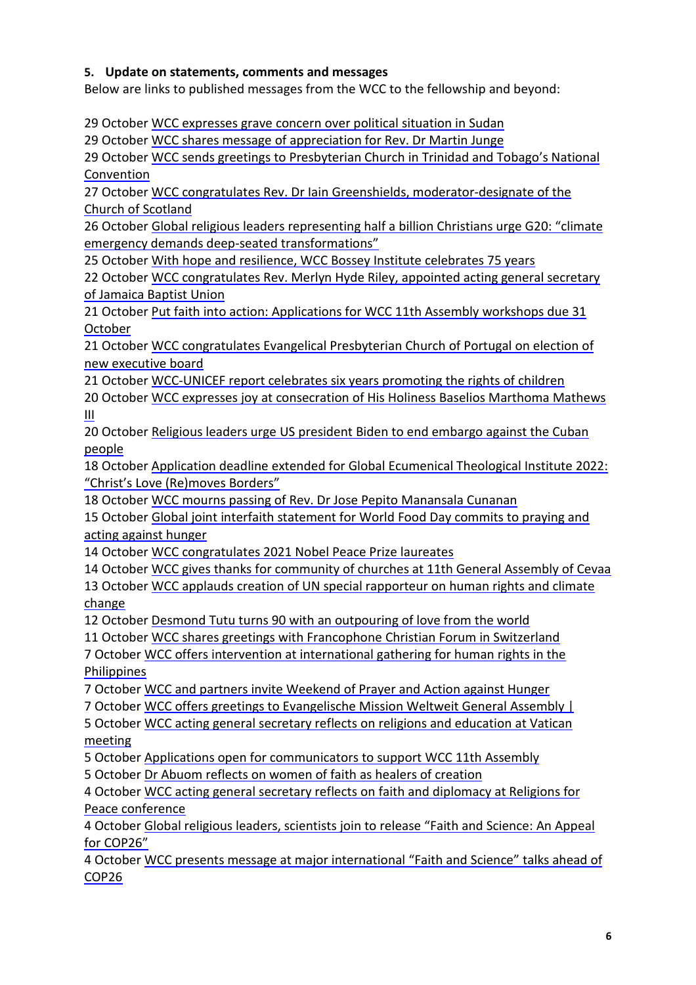## **5. Update on statements, comments and messages**

Below are links to published messages from the WCC to the fellowship and beyond:

29 October WCC [expresses](https://www.oikoumene.org/news/wcc-expresses-grave-concern-over-political-situation-in-sudan) grave concern over political situation in Sudan

29 October WCC shares message of [appreciation](https://www.oikoumene.org/news/wcc-shares-message-of-appreciation-for-rev-dr-martin-junge) for Rev. Dr Martin Junge

29 October WCC sends greetings to [Presbyterian](https://www.oikoumene.org/news/wcc-sends-greetings-to-presbyterian-church-in-trinidad-and-tobagos-national-convention) Church in Trinidad and Tobago's National [Convention](https://www.oikoumene.org/news/wcc-sends-greetings-to-presbyterian-church-in-trinidad-and-tobagos-national-convention)

27 October WCC congratulates Rev. Dr Iain Greenshields, [moderator-designate](https://www.oikoumene.org/news/wcc-congratulates-rev-dr-iain-greenshields-moderator-designate-of-the-church-of-scotland) of the Church of [Scotland](https://www.oikoumene.org/news/wcc-congratulates-rev-dr-iain-greenshields-moderator-designate-of-the-church-of-scotland)

26 October Global religious leaders [representing](https://www.oikoumene.org/news/global-religious-leaders-representing-half-a-billion-christians-urge-g20-climate-emergency-demands-deep-seated-transformations) half a billion Christians urge G20: "climate emergency demands deep-seated [transformations"](https://www.oikoumene.org/news/global-religious-leaders-representing-half-a-billion-christians-urge-g20-climate-emergency-demands-deep-seated-transformations)

25 October With hope and resilience, WCC Bossey Institute [celebrates](https://www.oikoumene.org/news/with-hope-and-resilience-wcc-bossey-institute-celebrates-75-years-0) 75 years

22 October WCC [congratulates](https://www.oikoumene.org/news/wcc-congratulates-rev-merlyn-hyde-riley-appointed-acting-general-secretary-of-jamaica-baptist-union) Rev. Merlyn Hyde Riley, appointed acting general secretary of [Jamaica](https://www.oikoumene.org/news/wcc-congratulates-rev-merlyn-hyde-riley-appointed-acting-general-secretary-of-jamaica-baptist-union) Baptist Union

21 October Put faith into action: [Applications](https://www.oikoumene.org/news/put-faith-into-action-applications-for-wcc-11th-assembly-workshops-due-31-october) for WCC 11th Assembly workshops due 31 [October](https://www.oikoumene.org/news/put-faith-into-action-applications-for-wcc-11th-assembly-workshops-due-31-october)

21 October WCC [congratulates](https://www.oikoumene.org/news/wcc-congratulates-evangelical-presbyterian-church-of-portugal-on-election-of-new-executive-board) Evangelical Presbyterian Church of Portugal on election of new [executive](https://www.oikoumene.org/news/wcc-congratulates-evangelical-presbyterian-church-of-portugal-on-election-of-new-executive-board) board

21 October [WCC-UNICEF](https://www.oikoumene.org/news/wcc-unicef-report-celebrates-six-years-promoting-the-rights-of-children) report celebrates six years promoting the rights of children

20 October WCC expresses joy at [consecration](https://www.oikoumene.org/news/wcc-expresses-joy-at-consecration-of-his-holiness-baselios-marthoma-mathews-iii) of His Holiness Baselios Marthoma Mathews [III](https://www.oikoumene.org/news/wcc-expresses-joy-at-consecration-of-his-holiness-baselios-marthoma-mathews-iii)

20 October Religious leaders urge US [president](https://www.oikoumene.org/news/religious-leaders-urge-us-president-biden-to-end-embargo-against-the-cuban-people) Biden to end embargo against the Cuban [people](https://www.oikoumene.org/news/religious-leaders-urge-us-president-biden-to-end-embargo-against-the-cuban-people)

18 October Application deadline extended for Global Ecumenical [Theological](https://www.oikoumene.org/news/application-deadline-extended-for-global-ecumenical-theological-institute-2022-christs-love-removes-borders) Institute 2022: "Christ's Love [\(Re\)moves](https://www.oikoumene.org/news/application-deadline-extended-for-global-ecumenical-theological-institute-2022-christs-love-removes-borders) Borders"

18 October WCC mourns passing of Rev. Dr Jose Pepito [Manansala](https://www.oikoumene.org/news/wcc-mourns-passing-of-rev-dr-jose-pepito-manansala-cunanan) Cunanan

15 October Global joint interfaith [statement](https://www.oikoumene.org/news/global-joint-interfaith-statement-for-world-food-day-commits-to-praying-and-acting-against-hunger) for World Food Day commits to praying and acting [against](https://www.oikoumene.org/news/global-joint-interfaith-statement-for-world-food-day-commits-to-praying-and-acting-against-hunger) hunger

14 October WCC [congratulates](https://www.oikoumene.org/news/wcc-congratulates-2021-nobel-peace-prize-laureates) 2021 Nobel Peace Prize laureates

14 October WCC gives thanks for [community](https://www.oikoumene.org/news/wcc-gives-thanks-for-community-of-churches-at-11th-general-assembly-of-cevaa) of churches at 11th General Assembly of Cevaa

13 October WCC applauds creation of UN special [rapporteur](https://www.oikoumene.org/news/wcc-applauds-creation-of-un-special-rapporteur-on-human-rights-and-climate-change) on human rights and climate [change](https://www.oikoumene.org/news/wcc-applauds-creation-of-un-special-rapporteur-on-human-rights-and-climate-change)

12 October Desmond Tutu turns 90 with an [outpouring](https://www.oikoumene.org/news/desmond-tutu-turns-90-with-an-outpouring-of-love-from-the-world) of love from the world

11 October WCC shares greetings with [Francophone](https://www.oikoumene.org/news/wcc-shares-greetings-with-francophone-christian-forum-in-switzerland) Christian Forum in Switzerland

7 October WCC offers intervention at [international](https://www.oikoumene.org/news/wcc-offers-intervention-at-international-gathering-for-human-rights-in-the-philippines) gathering for human rights in the [Philippines](https://www.oikoumene.org/news/wcc-offers-intervention-at-international-gathering-for-human-rights-in-the-philippines)

7 October WCC and partners invite [Weekend](https://www.oikoumene.org/news/wcc-and-partners-invite-weekend-of-prayer-and-action-against-hunger) of Prayer and Action against Hunger

7 October WCC offers greetings to [Evangelische](https://www.oikoumene.org/news/wcc-offers-greetings-to-evangelische-mission-weltweit-general-assembly) Mission Weltweit General Assembly |

5 October WCC acting general secretary reflects on religions and [education](https://www.oikoumene.org/news/wcc-acting-general-secretary-reflects-on-religions-and-education-at-vatican-meeting) at Vatican [meeting](https://www.oikoumene.org/news/wcc-acting-general-secretary-reflects-on-religions-and-education-at-vatican-meeting)

5 October Applications open for [communicators](https://www.oikoumene.org/news/applications-open-for-communicators-to-support-wcc-11th-assembly) to support WCC 11th Assembly

5 October Dr Abuom reflects on women of faith as healers of [creation](https://www.oikoumene.org/news/dr-abuom-reflects-on-women-of-faith-as-healers-of-creation)

4 October WCC acting general secretary reflects on faith and [diplomacy](https://www.oikoumene.org/news/wcc-acting-general-secretary-reflects-on-faith-and-diplomacy-at-religions-for-peace-conference) at Religions for Peace [conference](https://www.oikoumene.org/news/wcc-acting-general-secretary-reflects-on-faith-and-diplomacy-at-religions-for-peace-conference)

4 October Global religious leaders, [scientists](https://www.oikoumene.org/news/global-religious-leaders-scientists-join-to-release-faith-and-science-an-appeal-for-cop26) join to release "Faith and Science: An Appeal for [COP26"](https://www.oikoumene.org/news/global-religious-leaders-scientists-join-to-release-faith-and-science-an-appeal-for-cop26)

4 October WCC presents message at major [international](https://www.oikoumene.org/news/wcc-presents-message-at-major-international-faith-and-science-talks-ahead-of-cop26) "Faith and Science" talks ahead of [COP26](https://www.oikoumene.org/news/wcc-presents-message-at-major-international-faith-and-science-talks-ahead-of-cop26)